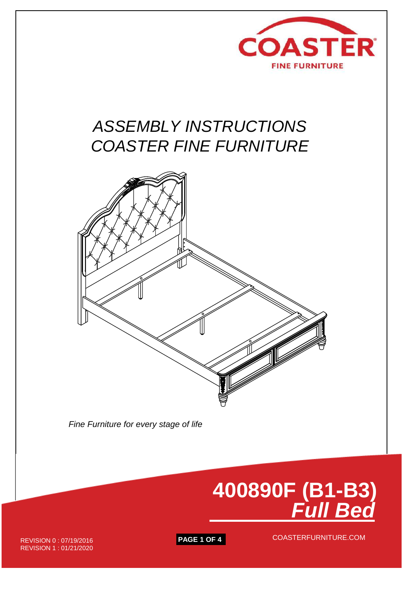

# *ASSEMBLY INSTRUCTIONS COASTER FINE FURNITURE*



 *Fine Furniture for every stage of life*



**PAGE 1 OF 4** COASTERFURNITURE.COM

REVISION 0 : 07/19/2016 REVISION 1 : 01/21/2020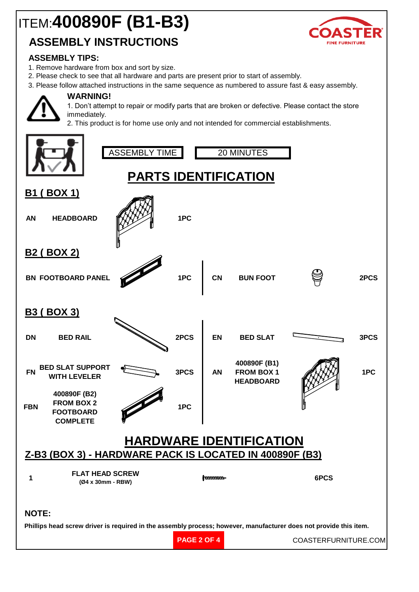# ITEM:**400890F (B1-B3)**

## **ASSEMBLY INSTRUCTIONS**

## **ASSEMBLY TIPS:**

- 1. Remove hardware from box and sort by size.
- 2. Please check to see that all hardware and parts are present prior to start of assembly.
- 3. Please follow attached instructions in the same sequence as numbered to assure fast & easy assembly.



### **WARNING!**

1. Don't attempt to repair or modify parts that are broken or defective. Please contact the store immediately.

2. This product is for home use only and not intended for commercial establishments.

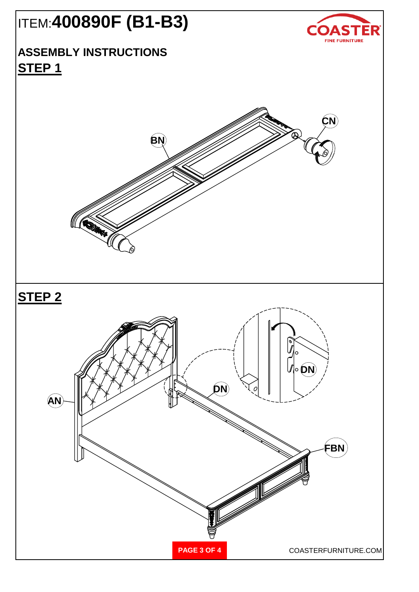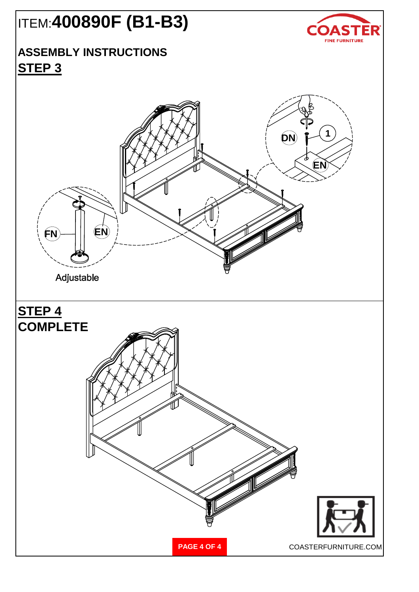